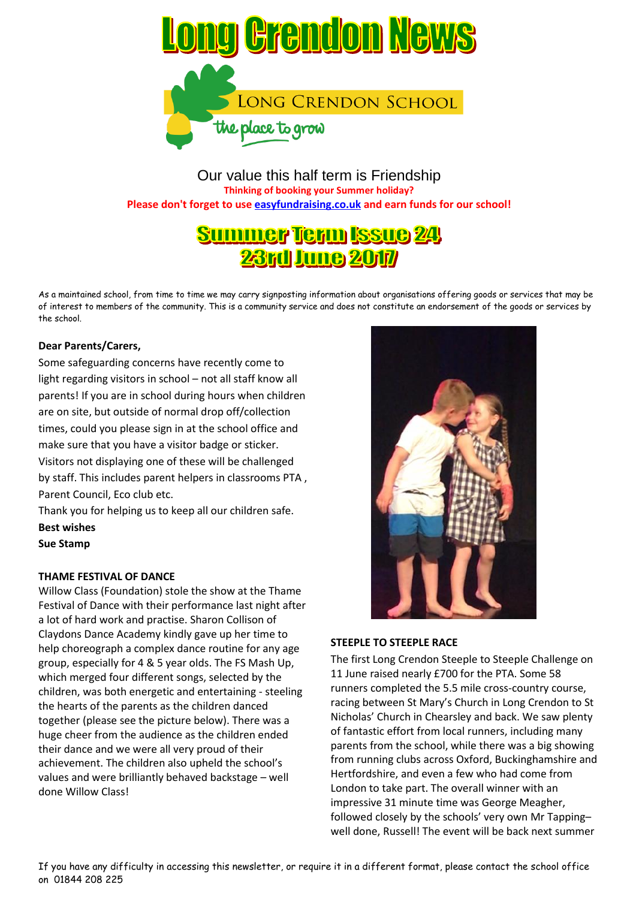

Our value this half term is Friendship **Thinking of booking your Summer holiday? Please don't forget to use easyfundraising.co.uk and earn funds for our school!**

# **Summer Term Issue 24 23rd June 2017**

As a maintained school, from time to time we may carry signposting information about organisations offering goods or services that may be of interest to members of the community. This is a community service and does not constitute an endorsement of the goods or services by the school.

# **Dear Parents/Carers,**

Some safeguarding concerns have recently come to light regarding visitors in school – not all staff know all parents! If you are in school during hours when children are on site, but outside of normal drop off/collection times, could you please sign in at the school office and make sure that you have a visitor badge or sticker. Visitors not displaying one of these will be challenged by staff. This includes parent helpers in classrooms PTA , Parent Council, Eco club etc.

Thank you for helping us to keep all our children safe. **Best wishes Sue Stamp**

# **THAME FESTIVAL OF DANCE**

Willow Class (Foundation) stole the show at the Thame Festival of Dance with their performance last night after a lot of hard work and practise. Sharon Collison of Claydons Dance Academy kindly gave up her time to help choreograph a complex dance routine for any age group, especially for 4 & 5 year olds. The FS Mash Up, which merged four different songs, selected by the children, was both energetic and entertaining - steeling the hearts of the parents as the children danced together (please see the picture below). There was a huge cheer from the audience as the children ended their dance and we were all very proud of their achievement. The children also upheld the school's values and were brilliantly behaved backstage – well done Willow Class!



# **STEEPLE TO STEEPLE RACE**

The first Long Crendon Steeple to Steeple Challenge on 11 June raised nearly £700 for the PTA. Some 58 runners completed the 5.5 mile cross-country course, racing between St Mary's Church in Long Crendon to St Nicholas' Church in Chearsley and back. We saw plenty of fantastic effort from local runners, including many parents from the school, while there was a big showing from running clubs across Oxford, Buckinghamshire and Hertfordshire, and even a few who had come from London to take part. The overall winner with an impressive 31 minute time was George Meagher, followed closely by the schools' very own Mr Tapping– well done, Russell! The event will be back next summer